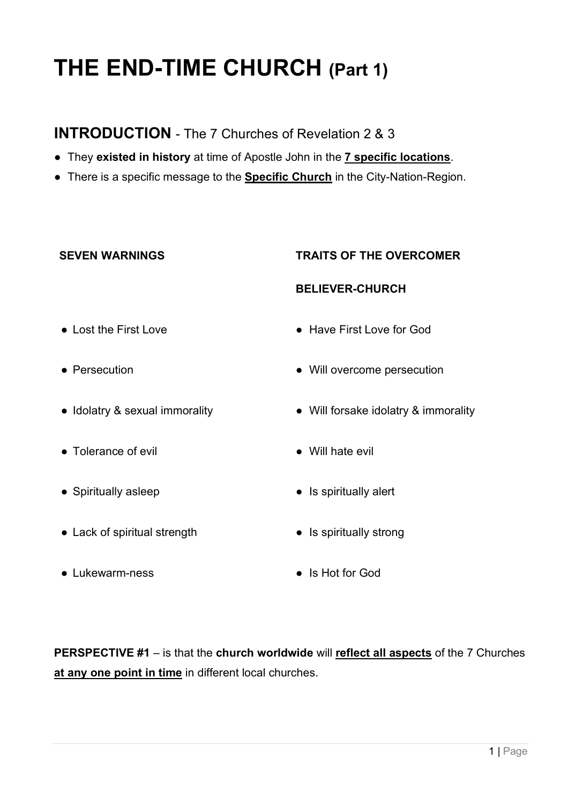# **THE END-TIME CHURCH (Part 1)**

# **INTRODUCTION** - The 7 Churches of Revelation 2 & 3

- They **existed in history** at time of Apostle John in the **7 specific locations**.
- There is a specific message to the **Specific Church** in the City-Nation-Region.

#### **SEVEN WARNINGS TRAITS OF THE OVERCOMER**

#### **BELIEVER-CHURCH**

- Lost the First Love  **Have First Love for God**
- Persecution Will overcome persecution
- Idolatry & sexual immorality Will forsake idolatry & immorality
- Tolerance of evil Will hate evil
- Spiritually asleep <br>• Is spiritually alert
- Lack of spiritual strength Is spiritually strong
- 
- 
- 
- 
- Lukewarm-ness Is Hot for God

**PERSPECTIVE #1** – is that the **church worldwide** will **reflect all aspects** of the 7 Churches **at any one point in time** in different local churches.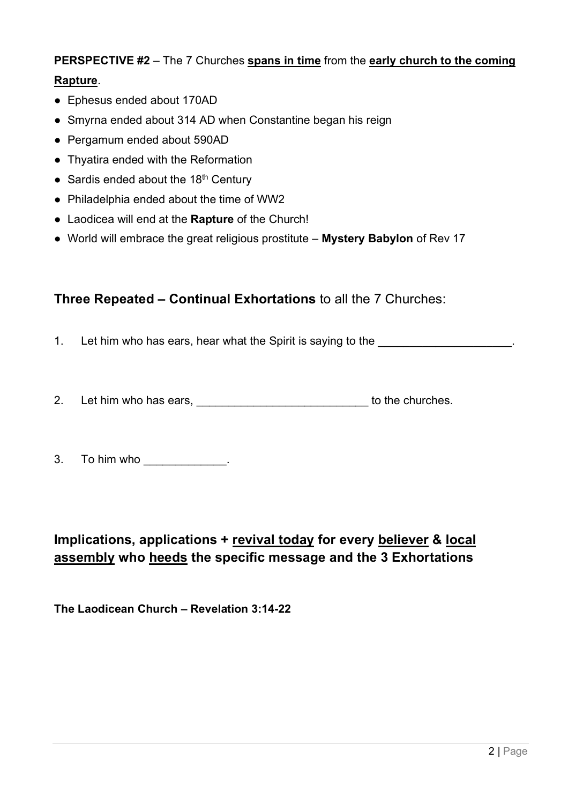# **PERSPECTIVE #2** – The 7 Churches **spans in time** from the **early church to the coming Rapture**.

- Ephesus ended about 170AD
- Smyrna ended about 314 AD when Constantine began his reign
- Pergamum ended about 590AD
- Thyatira ended with the Reformation
- Sardis ended about the  $18<sup>th</sup>$  Century
- Philadelphia ended about the time of WW2
- Laodicea will end at the **Rapture** of the Church!
- World will embrace the great religious prostitute **Mystery Babylon** of Rev 17

### **Three Repeated – Continual Exhortations** to all the 7 Churches:

- 1. Let him who has ears, hear what the Spirit is saying to the
- 2. Let him who has ears, \_\_\_\_\_\_\_\_\_\_\_\_\_\_\_\_\_\_\_\_\_\_\_\_\_\_\_\_\_\_\_\_ to the churches.
- 3. To him who the same state of the state of the state of the state of the state of the state of the state of the state of the state of the state of the state of the state of the state of the state of the state of the stat

# **Implications, applications + revival today for every believer & local assembly who heeds the specific message and the 3 Exhortations**

**The Laodicean Church – Revelation 3:14-22**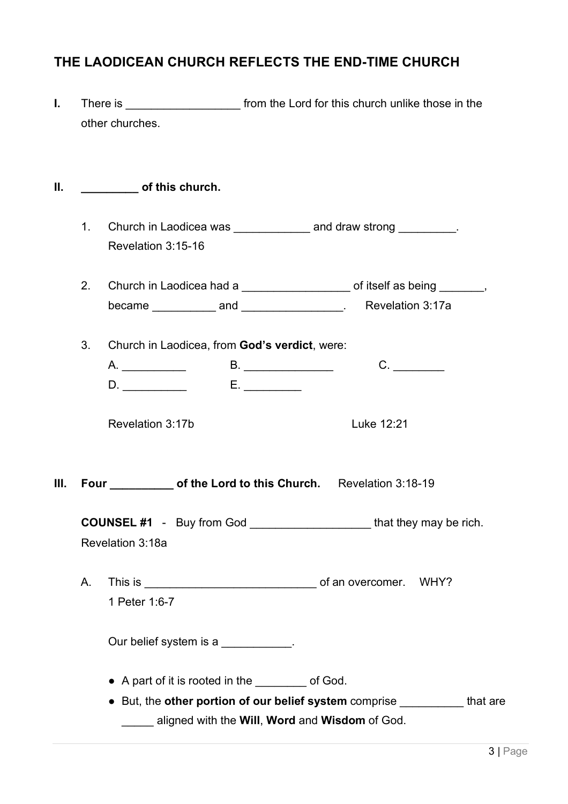# **THE LAODICEAN CHURCH REFLECTS THE END-TIME CHURCH**

**I.** There is **I. There** is **There** is **There** is **There** is the structure that the those in the those in the other churches.

#### **II. \_\_\_\_\_\_\_\_\_ of this church.**

- 1. Church in Laodicea was \_\_\_\_\_\_\_\_\_\_\_\_\_\_ and draw strong \_\_\_\_\_\_\_\_\_. Revelation 3:15-16
- 2. Church in Laodicea had a \_\_\_\_\_\_\_\_\_\_\_\_\_\_\_\_\_\_\_\_\_ of itself as being \_\_\_\_\_\_, became **and and here has a Revelation 3:17a**
- 3. Church in Laodicea, from **God's verdict**, were:

Revelation 3:17b Luke 12:21

**III.** Four of the Lord to this Church. Revelation 3:18-19

**COUNSEL #1** - Buy from God that they may be rich. Revelation 3:18a

A. This is \_\_\_\_\_\_\_\_\_\_\_\_\_\_\_\_\_\_\_\_\_\_\_\_\_\_\_ of an overcomer. WHY? 1 Peter 1:6-7

Our belief system is a manufactured by  $\sim$ 

- A part of it is rooted in the \_\_\_\_\_\_\_\_ of God.
- But, the **other portion of our belief system** comprise \_\_\_\_\_\_\_\_\_\_ that are \_\_\_\_\_ aligned with the **Will**, **Word** and **Wisdom** of God.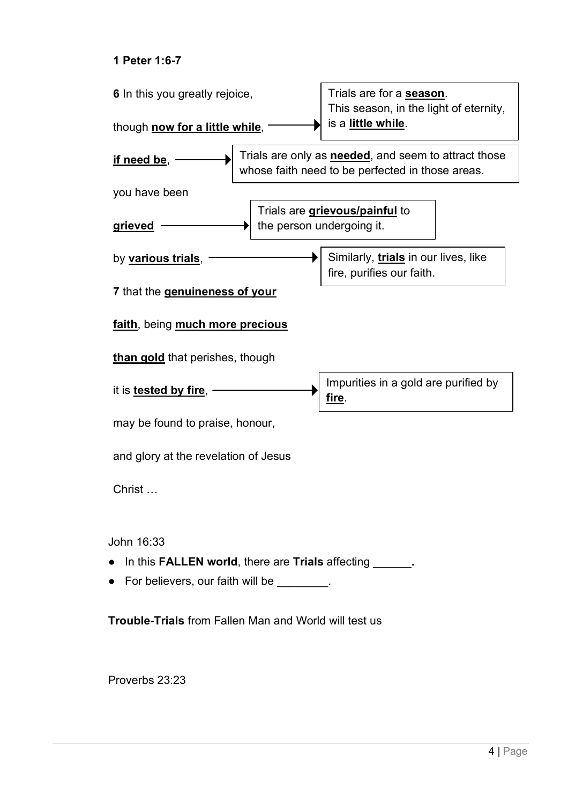#### **1 Peter 1:6-7**



**Trouble-Trials** from Fallen Man and World will test us

Proverbs 23:23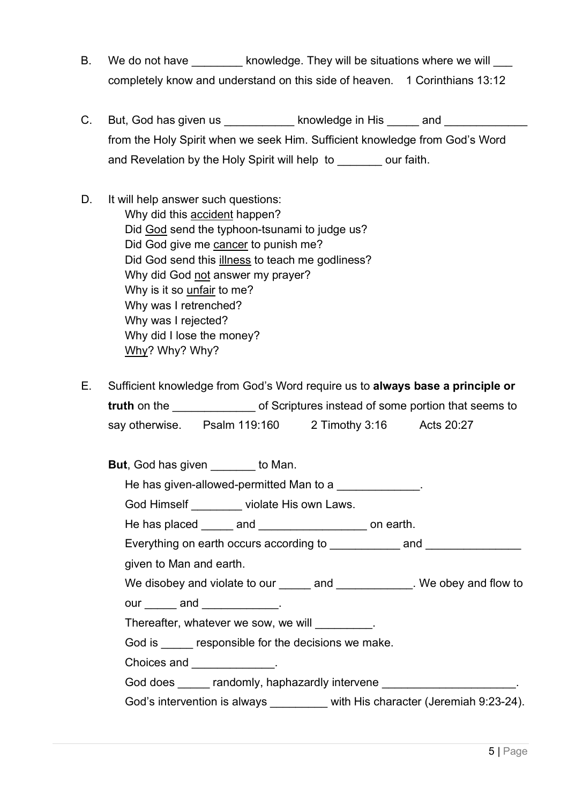- B. We do not have head world as a knowledge. They will be situations where we will completely know and understand on this side of heaven. 1 Corinthians 13:12
- C. But, God has given us but an and states and states in His and  $\sim$  and  $\sim$ from the Holy Spirit when we seek Him. Sufficient knowledge from God's Word and Revelation by the Holy Spirit will help to \_\_\_\_\_\_\_ our faith.
- D. It will help answer such questions: Why did this accident happen? Did God send the typhoon-tsunami to judge us? Did God give me cancer to punish me? Did God send this illness to teach me godliness? Why did God not answer my prayer? Why is it so unfair to me? Why was I retrenched? Why was I rejected? Why did I lose the money? Why? Why? Why?
- E. Sufficient knowledge from God's Word require us to **always base a principle or truth** on the **the contract of Scriptures** instead of some portion that seems to say otherwise. Psalm 119:160 2 Timothy 3:16 Acts 20:27

| <b>But</b> , God has given _______ to Man.                                 |  |  |  |
|----------------------------------------------------------------------------|--|--|--|
| He has given-allowed-permitted Man to a                                    |  |  |  |
| God Himself _________ violate His own Laws.                                |  |  |  |
| He has placed ______ and ____________________ on earth.                    |  |  |  |
|                                                                            |  |  |  |
| given to Man and earth.                                                    |  |  |  |
| We disobey and violate to our ______ and ____________. We obey and flow to |  |  |  |
| our ______ and _____________.                                              |  |  |  |
| Thereafter, whatever we sow, we will _________.                            |  |  |  |
| God is responsible for the decisions we make.                              |  |  |  |
| Choices and ______________.                                                |  |  |  |
| God does _____ randomly, haphazardly intervene _____________________.      |  |  |  |
| God's intervention is always with His character (Jeremiah 9:23-24).        |  |  |  |
|                                                                            |  |  |  |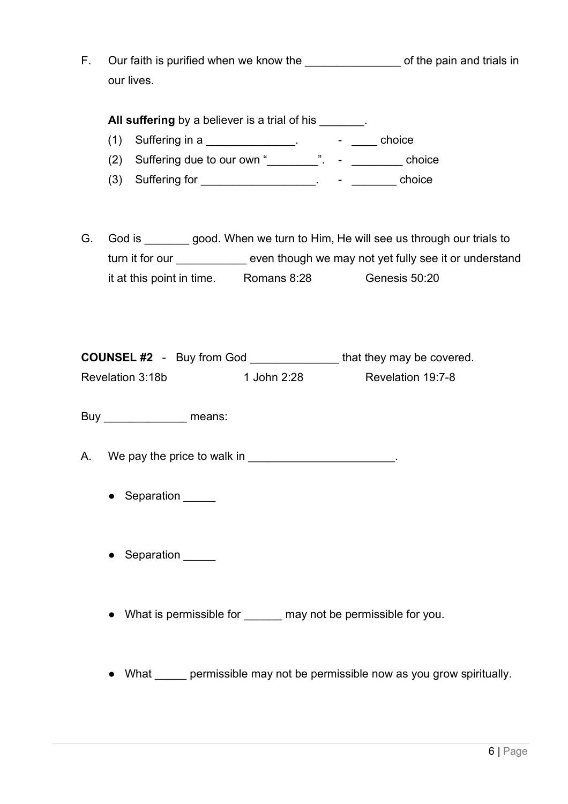F. Our faith is purified when we know the \_\_\_\_\_\_\_\_\_\_\_\_\_\_\_\_\_\_\_\_\_\_ of the pain and trials in our lives.

**All suffering** by a believer is a trial of his  $\qquad \qquad$ .

- (1) Suffering in a \_\_\_\_\_\_\_\_\_\_\_\_\_\_\_.  $\qquad -$  \_\_\_\_\_ choice
- (2) Suffering due to our own " $\frac{1}{2}$ ".  $\frac{1}{2}$  choice
- (3) Suffering for  $\frac{1}{\sqrt{2}}$  suffering for  $\frac{1}{\sqrt{2}}$  and  $\frac{1}{\sqrt{2}}$  and  $\frac{1}{\sqrt{2}}$  choice
- G. God is \_\_\_\_\_\_\_ good. When we turn to Him, He will see us through our trials to turn it for our \_\_\_\_\_\_\_\_\_\_\_\_ even though we may not yet fully see it or understand it at this point in time. Romans 8:28 Genesis 50:20

| <b>COUNSEL #2</b> - Buy from God |             | that they may be covered. |
|----------------------------------|-------------|---------------------------|
| Revelation 3:18b                 | 1 John 2:28 | Revelation 19:7-8         |

Buy \_\_\_\_\_\_\_\_\_\_\_\_\_\_\_\_\_\_ means:

- A. We pay the price to walk in  $\blacksquare$ 
	- Separation
	- Separation \_\_\_\_\_
	- What is permissible for \_\_\_\_\_\_ may not be permissible for you.
	- What permissible may not be permissible now as you grow spiritually.